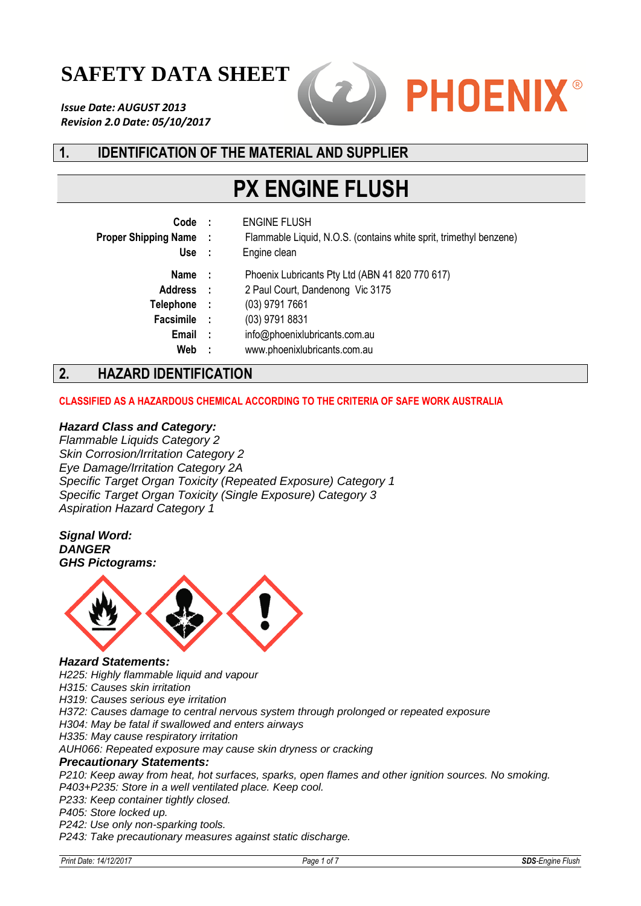# **SAFETY DATA SHEET**

*Issue Date: AUGUST 2013 Revision 2.0 Date: 05/10/2017*



# **1. IDENTIFICATION OF THE MATERIAL AND SUPPLIER**

# **PX ENGINE FLUSH**

| Code<br><b>Proper Shipping Name:</b><br>Use                        | - 1                      | <b>ENGINE FLUSH</b><br>Flammable Liquid, N.O.S. (contains white sprit, trimethyl benzene)<br>Engine clean                                                                                |
|--------------------------------------------------------------------|--------------------------|------------------------------------------------------------------------------------------------------------------------------------------------------------------------------------------|
| Name<br><b>Address</b><br>Telephone<br>Facsimile :<br>Email<br>Web | - 1<br>- 1<br>- 1<br>- 1 | Phoenix Lubricants Pty Ltd (ABN 41 820 770 617)<br>2 Paul Court, Dandenong Vic 3175<br>(03) 9791 7661<br>(03) 9791 8831<br>info@phoenixlubricants.com.au<br>www.phoenixlubricants.com.au |
| <b>UAZADD IDENTIEICATION</b>                                       |                          |                                                                                                                                                                                          |

# **2. HAZARD IDENTIFICATION**

#### **CLASSIFIED AS A HAZARDOUS CHEMICAL ACCORDING TO THE CRITERIA OF SAFE WORK AUSTRALIA**

#### *Hazard Class and Category:*

*Flammable Liquids Category 2 Skin Corrosion/Irritation Category 2 Eye Damage/Irritation Category 2A Specific Target Organ Toxicity (Repeated Exposure) Category 1 Specific Target Organ Toxicity (Single Exposure) Category 3 Aspiration Hazard Category 1*

*Signal Word: DANGER GHS Pictograms:*



#### *Hazard Statements:*

*H225: Highly flammable liquid and vapour*

*H315: Causes skin irritation*

*H319: Causes serious eye irritation*

*H372: Causes damage to central nervous system through prolonged or repeated exposure*

*H304: May be fatal if swallowed and enters airways*

*H335: May cause respiratory irritation*

*AUH066: Repeated exposure may cause skin dryness or cracking*

#### *Precautionary Statements:*

*P210: Keep away from heat, hot surfaces, sparks, open flames and other ignition sources. No smoking. P403+P235: Store in a well ventilated place. Keep cool.*

*P233: Keep container tightly closed.*

*P405: Store locked up.*

*P242: Use only non-sparking tools.*

*P243: Take precautionary measures against static discharge.*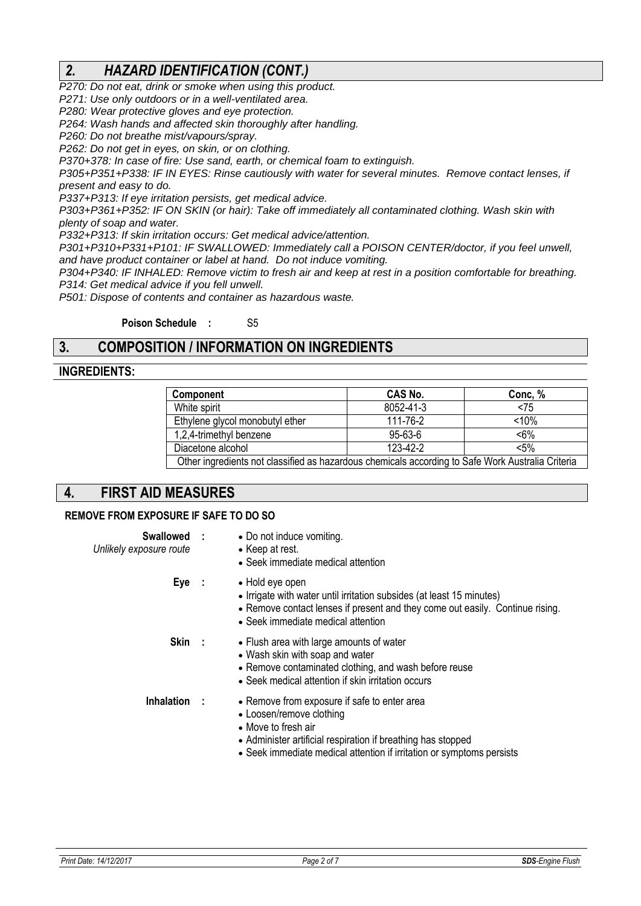# *2. HAZARD IDENTIFICATION (CONT.)*

*P270: Do not eat, drink or smoke when using this product.*

*P271: Use only outdoors or in a well-ventilated area.*

*P280: Wear protective gloves and eye protection.*

*P264: Wash hands and affected skin thoroughly after handling.*

*P260: Do not breathe mist/vapours/spray.*

*P262: Do not get in eyes, on skin, or on clothing.*

*P370+378: In case of fire: Use sand, earth, or chemical foam to extinguish.*

*P305+P351+P338: IF IN EYES: Rinse cautiously with water for several minutes. Remove contact lenses, if present and easy to do.*

*P337+P313: If eye irritation persists, get medical advice.*

*P303+P361+P352: IF ON SKIN (or hair): Take off immediately all contaminated clothing. Wash skin with plenty of soap and water.*

*P332+P313: If skin irritation occurs: Get medical advice/attention.*

*P301+P310+P331+P101: IF SWALLOWED: Immediately call a POISON CENTER/doctor, if you feel unwell, and have product container or label at hand. Do not induce vomiting.*

*P304+P340: IF INHALED: Remove victim to fresh air and keep at rest in a position comfortable for breathing. P314: Get medical advice if you fell unwell.*

*P501: Dispose of contents and container as hazardous waste.*

**Poison Schedule :** S5

# **3. COMPOSITION / INFORMATION ON INGREDIENTS**

# **INGREDIENTS:**

| Component                                                                                         | <b>CAS No.</b> | Conc, % |  |  |
|---------------------------------------------------------------------------------------------------|----------------|---------|--|--|
| White spirit                                                                                      | 8052-41-3      | < 75    |  |  |
| Ethylene glycol monobutyl ether                                                                   | 111-76-2       | < 10%   |  |  |
| 1,2,4-trimethyl benzene                                                                           | 95-63-6        | $< 6\%$ |  |  |
| Diacetone alcohol                                                                                 | 123-42-2       | $< 5\%$ |  |  |
| Other ingredients not classified as hazardous chemicals according to Safe Work Australia Criteria |                |         |  |  |

# **4. FIRST AID MEASURES**

#### **REMOVE FROM EXPOSURE IF SAFE TO DO SO**

| Swallowed :<br>Unlikely exposure route | • Do not induce vomiting.<br>• Keep at rest.<br>• Seek immediate medical attention                                                                                                                                                               |
|----------------------------------------|--------------------------------------------------------------------------------------------------------------------------------------------------------------------------------------------------------------------------------------------------|
| Eye :                                  | • Hold eye open<br>• Irrigate with water until irritation subsides (at least 15 minutes)<br>• Remove contact lenses if present and they come out easily. Continue rising.<br>• Seek immediate medical attention                                  |
| Skin :                                 | • Flush area with large amounts of water<br>• Wash skin with soap and water<br>• Remove contaminated clothing, and wash before reuse<br>• Seek medical attention if skin irritation occurs                                                       |
| <b>Inhalation</b>                      | • Remove from exposure if safe to enter area<br>• Loosen/remove clothing<br>$\bullet$ Move to fresh air<br>• Administer artificial respiration if breathing has stopped<br>• Seek immediate medical attention if irritation or symptoms persists |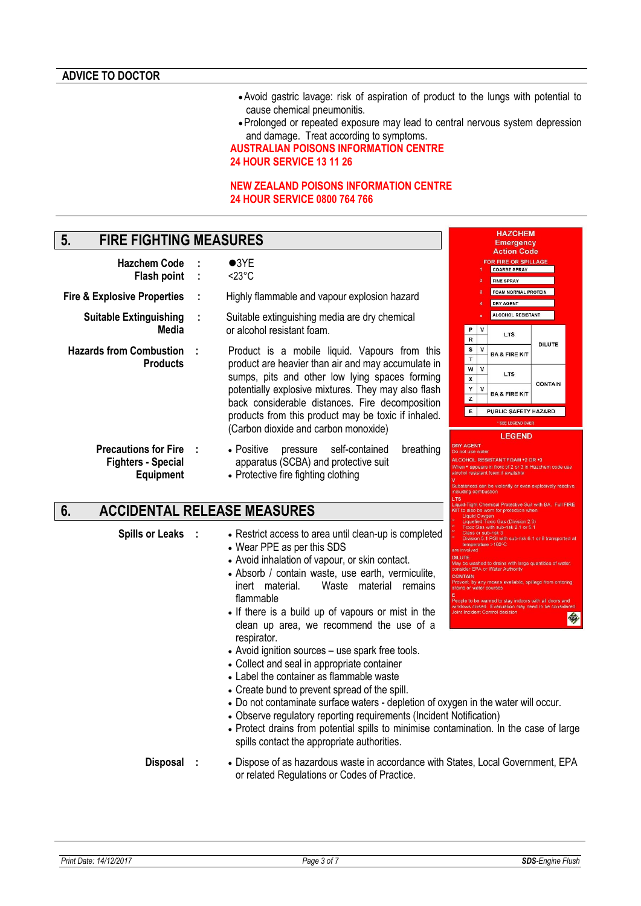- Avoid gastric lavage: risk of aspiration of product to the lungs with potential to cause chemical pneumonitis.
- Prolonged or repeated exposure may lead to central nervous system depression and damage. Treat according to symptoms.

**HAZCHEM** Emergency **Action Code** FOR FIRE OR SPILLA COARSE SPRAY FINE SPRAY FOAM NORMAL PROTEIN DRY AGENT ALCOHOL RESISTANT

**LTS** 

**BA & FIRE KIT** 

**LTS** 

**BA & FIRE KIT** 

COHOL RESISTANT FOAM \*2 OR \*3 pears in front of 2 or 3 in<mark>.</mark><br>istant foam if available

PUBLIC SAFETY HAZARD

SEE LEGEND OVER LEGEND

in<br>kic Gas (Division 2.3)<br>th sub-risk 2.1 or 5.1<br>title? sub-risk 3<br>sub-risk 3<br>5.1 PGI with sub-risk 6.1 or 8 transported at

washed to drains with large quantities of wate<br>EPA or Water Authority .<br>by any means available, spillage from<br>water courses e to be warned to stay indoors with all do<br>ws closed. Evacuation may need to be c<br>ncident Control decision

今

**DILUTE** 

**CONTAIN** 

 $P$ 

 $s \mid v$ 

R

 $\mathbf T$  $W$   $V$ 

X

 $\mathbf Y$  $\mathsf{v}$ 

 $\overline{z}$ 

 $E$ 

**AGENT** 

**ILUTE** 

#### **AUSTRALIAN POISONS INFORMATION CENTRE 24 HOUR SERVICE 13 11 26**

#### **NEW ZEALAND POISONS INFORMATION CENTRE 24 HOUR SERVICE 0800 764 766**

# **5. FIRE FIGHTING MEASURES**

**Flash point** 

- **Hazchem Code : 03YE<br>Flash point :**  $\leq 23^{\circ}$ **C** 
	-

**Fire & Explosive Properties : Highly flammable and vapour explosion hazard** 

- **Suitable Extinguishing Media :** Suitable extinguishing media are dry chemical or alcohol resistant foam.
- **Hazards from Combustion Products**  Product is a mobile liquid. Vapours from this product are heavier than air and may accumulate in sumps, pits and other low lying spaces forming potentially explosive mixtures. They may also flash back considerable distances. Fire decomposition products from this product may be toxic if inhaled. (Carbon dioxide and carbon monoxide)
	- **Precautions for Fire :** Positive pressure self-contained breathing apparatus (SCBA) and protective suit
		- Protective fire fighting clothing

# **6. ACCIDENTAL RELEASE MEASURES**

**Fighters - Special Equipment**

- **Spills or Leaks : Restrict access to area until clean-up is completed**  Wear PPE as per this SDS
	- Avoid inhalation of vapour, or skin contact.
	- Absorb / contain waste, use earth, vermiculite,<br>inert material. Waste material remains Waste material remains flammable
	- If there is a build up of vapours or mist in the clean up area, we recommend the use of a respirator.
	- Avoid ignition sources use spark free tools.
	- Collect and seal in appropriate container
	- Label the container as flammable waste
	- Create bund to prevent spread of the spill.
	- Do not contaminate surface waters depletion of oxygen in the water will occur.
	- Observe regulatory reporting requirements (Incident Notification)
	- Protect drains from potential spills to minimise contamination. In the case of large spills contact the appropriate authorities.
	- **Disposal :** Dispose of as hazardous waste in accordance with States, Local Government, EPA or related Regulations or Codes of Practice.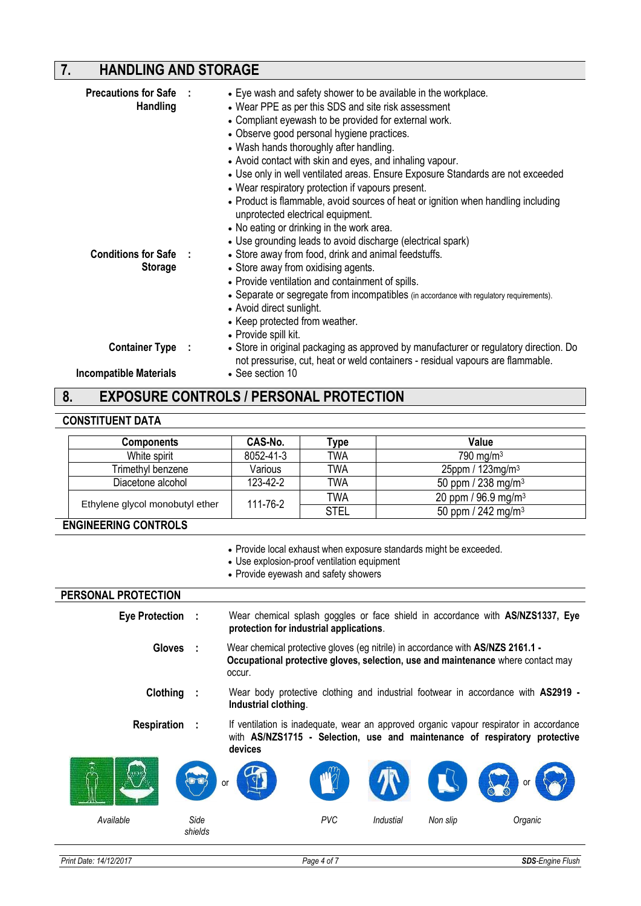# **7. HANDLING AND STORAGE**

| <b>Precautions for Safe :</b><br><b>Handling</b>  | • Eye wash and safety shower to be available in the workplace.<br>• Wear PPE as per this SDS and site risk assessment<br>• Compliant eyewash to be provided for external work.<br>• Observe good personal hygiene practices.<br>• Wash hands thoroughly after handling.<br>• Avoid contact with skin and eyes, and inhaling vapour.<br>• Use only in well ventilated areas. Ensure Exposure Standards are not exceeded<br>• Wear respiratory protection if vapours present.<br>• Product is flammable, avoid sources of heat or ignition when handling including<br>unprotected electrical equipment.<br>• No eating or drinking in the work area. |
|---------------------------------------------------|----------------------------------------------------------------------------------------------------------------------------------------------------------------------------------------------------------------------------------------------------------------------------------------------------------------------------------------------------------------------------------------------------------------------------------------------------------------------------------------------------------------------------------------------------------------------------------------------------------------------------------------------------|
| <b>Conditions for Safe</b> :<br><b>Storage</b>    | • Use grounding leads to avoid discharge (electrical spark)<br>• Store away from food, drink and animal feedstuffs.<br>• Store away from oxidising agents.<br>• Provide ventilation and containment of spills.<br>• Separate or segregate from incompatibles (in accordance with regulatory requirements).<br>• Avoid direct sunlight.<br>• Keep protected from weather.<br>• Provide spill kit.                                                                                                                                                                                                                                                   |
| Container Type :<br><b>Incompatible Materials</b> | • Store in original packaging as approved by manufacturer or regulatory direction. Do<br>not pressurise, cut, heat or weld containers - residual vapours are flammable.<br>• See section 10                                                                                                                                                                                                                                                                                                                                                                                                                                                        |

# **8. EXPOSURE CONTROLS / PERSONAL PROTECTION**

#### **CONSTITUENT DATA**

| <b>Components</b>               | CAS-No.   | vpe         | Value                             |
|---------------------------------|-----------|-------------|-----------------------------------|
| White spirit                    | 8052-41-3 | <b>TWA</b>  | 790 mg/m $3$                      |
| Trimethyl benzene               | Various   | <b>TWA</b>  | 25ppm / 123mg/m <sup>3</sup>      |
| Diacetone alcohol               | 123-42-2  | <b>TWA</b>  | 50 ppm / 238 mg/m <sup>3</sup>    |
|                                 |           | <b>TWA</b>  | 20 ppm / $96.9$ mg/m <sup>3</sup> |
| Ethylene glycol monobutyl ether | 111-76-2  | <b>STEL</b> | 50 ppm / 242 mg/m <sup>3</sup>    |

#### **ENGINEERING CONTROLS**

Provide local exhaust when exposure standards might be exceeded.

- Use explosion-proof ventilation equipment
- Provide eyewash and safety showers

# **PERSONAL PROTECTION Eye Protection :** Wear chemical splash goggles or face shield in accordance with **AS/NZS1337, Eye protection for industrial applications**. **Gloves :** Wear chemical protective gloves (eg nitrile) in accordance with **AS/NZS 2161.1 - Occupational protective gloves, selection, use and maintenance** where contact may occur. **Clothing :** Wear body protective clothing and industrial footwear in accordance with **AS2919 - Industrial clothing**. **Respiration** : If ventilation is inadequate, wear an approved organic vapour respirator in accordance with **AS/NZS1715 - Selection, use and maintenance of respiratory protective devices** *Available Side shields PVC Industial Non slip Organic*  or or the state of the state of the state of the state of the state of the state of the state of the state of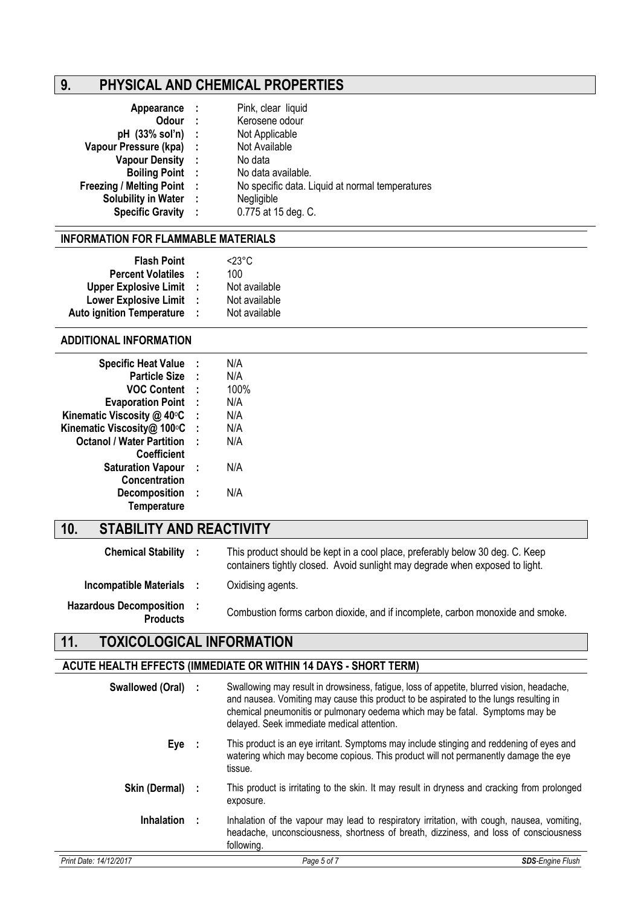# **9. PHYSICAL AND CHEMICAL PROPERTIES**

| Appearance :                      |          | Pink, clear liquid                              |
|-----------------------------------|----------|-------------------------------------------------|
| <b>Odour</b>                      | $\sim$ : | Kerosene odour                                  |
| pH (33% sol'n) :                  |          | Not Applicable                                  |
| Vapour Pressure (kpa) :           |          | Not Available                                   |
| Vapour Density :                  |          | No data                                         |
| <b>Boiling Point :</b>            |          | No data available.                              |
| <b>Freezing / Melting Point :</b> |          | No specific data. Liquid at normal temperatures |
| Solubility in Water :             |          | Negligible                                      |
| <b>Specific Gravity :</b>         |          | 0.775 at 15 deg. C.                             |
|                                   |          |                                                 |

#### **INFORMATION FOR FLAMMABLE MATERIALS**

| <b>Flash Point</b>               |    | $<$ 23°C      |
|----------------------------------|----|---------------|
| <b>Percent Volatiles</b>         |    | 100           |
| <b>Upper Explosive Limit</b>     |    | Not available |
| <b>Lower Explosive Limit</b>     | ÷. | Not available |
| <b>Auto ignition Temperature</b> | -1 | Not available |

#### **ADDITIONAL INFORMATION**

| <b>Specific Heat Value</b>       | ÷ | N/A  |
|----------------------------------|---|------|
| <b>Particle Size</b>             | t | N/A  |
| <b>VOC Content</b>               | t | 100% |
| <b>Evaporation Point</b>         | t | N/A  |
| Kinematic Viscosity @ 40°C       | t | N/A  |
| Kinematic Viscosity@ 100°C       | t | N/A  |
| <b>Octanol / Water Partition</b> | ۰ | N/A  |
| <b>Coefficient</b>               |   |      |
| <b>Saturation Vapour</b>         | ÷ | N/A  |
| Concentration                    |   |      |
| <b>Decomposition</b>             | ÷ | N/A  |
| <b>Temperature</b>               |   |      |

# **10. STABILITY AND REACTIVITY**

| <b>Chemical Stability :</b>                       |           | This product should be kept in a cool place, preferably below 30 deg. C. Keep<br>containers tightly closed. Avoid sunlight may degrade when exposed to light. |
|---------------------------------------------------|-----------|---------------------------------------------------------------------------------------------------------------------------------------------------------------|
| Incompatible Materials :                          |           | Oxidising agents.                                                                                                                                             |
| <b>Hazardous Decomposition</b><br><b>Products</b> | $\sim$ 1. | Combustion forms carbon dioxide, and if incomplete, carbon monoxide and smoke.                                                                                |

# **11. TOXICOLOGICAL INFORMATION**

# **ACUTE HEALTH EFFECTS (IMMEDIATE OR WITHIN 14 DAYS - SHORT TERM)**

| <b>Swallowed (Oral)</b> | Swallowing may result in drowsiness, fatigue, loss of appetite, blurred vision, headache,<br>and nausea. Vomiting may cause this product to be aspirated to the lungs resulting in<br>chemical pneumonitis or pulmonary oedema which may be fatal. Symptoms may be<br>delayed. Seek immediate medical attention. |                         |
|-------------------------|------------------------------------------------------------------------------------------------------------------------------------------------------------------------------------------------------------------------------------------------------------------------------------------------------------------|-------------------------|
| Eye                     | This product is an eye irritant. Symptoms may include stinging and reddening of eyes and<br>watering which may become copious. This product will not permanently damage the eye<br>tissue.                                                                                                                       |                         |
| Skin (Dermal) :         | This product is irritating to the skin. It may result in dryness and cracking from prolonged<br>exposure.                                                                                                                                                                                                        |                         |
| <b>Inhalation</b>       | Inhalation of the vapour may lead to respiratory irritation, with cough, nausea, vomiting,<br>headache, unconsciousness, shortness of breath, dizziness, and loss of consciousness<br>following.                                                                                                                 |                         |
| Print Date: 14/12/2017  | Page 5 of 7                                                                                                                                                                                                                                                                                                      | <b>SDS-Engine Flush</b> |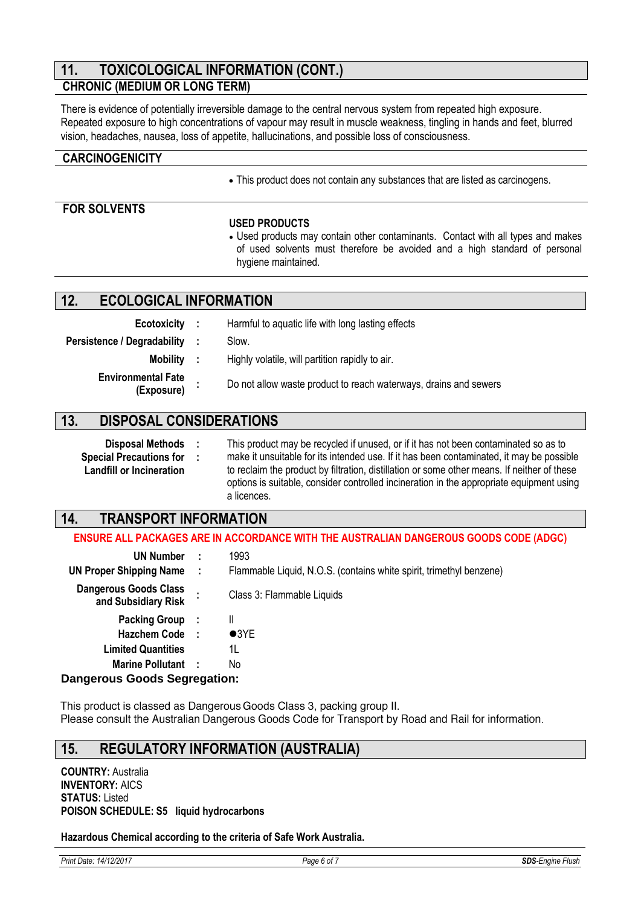# **11. TOXICOLOGICAL INFORMATION (CONT.)**

# **CHRONIC (MEDIUM OR LONG TERM)**

There is evidence of potentially irreversible damage to the central nervous system from repeated high exposure. Repeated exposure to high concentrations of vapour may result in muscle weakness, tingling in hands and feet, blurred vision, headaches, nausea, loss of appetite, hallucinations, and possible loss of consciousness.

#### **CARCINOGENICITY**

This product does not contain any substances that are listed as carcinogens.

### **FOR SOLVENTS**

#### **USED PRODUCTS**

 Used products may contain other contaminants. Contact with all types and makes of used solvents must therefore be avoided and a high standard of personal hygiene maintained.

### **12. ECOLOGICAL INFORMATION**

| Ecotoxicity :                           | Harmful to aquatic life with long lasting effects                |
|-----------------------------------------|------------------------------------------------------------------|
| Persistence / Degradability :           | Slow.                                                            |
| Mobility :                              | Highly volatile, will partition rapidly to air.                  |
| <b>Environmental Fate</b><br>(Exposure) | Do not allow waste product to reach waterways, drains and sewers |

# **13. DISPOSAL CONSIDERATIONS**

**Disposal Methods :** This product may be recycled if unused, or if it has not been contaminated so as to make it unsuitable for its intended use. If it has been contaminated, it may be possible to reclaim the product by filtration, distillation or some other means. If neither of these options is suitable, consider controlled incineration in the appropriate equipment using a licences. **Special Precautions for Landfill or Incineration :**

# **14. TRANSPORT INFORMATION**

#### **ENSURE ALL PACKAGES ARE IN ACCORDANCE WITH THE AUSTRALIAN DANGEROUS GOODS CODE (ADGC)**

| <b>UN Number</b>                                    |      | 1993                                                                |
|-----------------------------------------------------|------|---------------------------------------------------------------------|
| <b>UN Proper Shipping Name</b>                      | - 11 | Flammable Liquid, N.O.S. (contains white spirit, trimethyl benzene) |
| <b>Dangerous Goods Class</b><br>and Subsidiary Risk |      | Class 3: Flammable Liquids                                          |
| <b>Packing Group :</b>                              |      | Ш                                                                   |
| Hazchem Code :                                      |      | $\bullet$ 3YE                                                       |
| <b>Limited Quantities</b>                           |      | 1L                                                                  |
| <b>Marine Pollutant</b>                             |      | No                                                                  |
| Ionancrous Coode Coaroantion:                       |      |                                                                     |

#### **Dangerous Goods Segregation:**

This product is classed as Dangerous Goods Class 3, packing group II. Please consult the Australian Dangerous Goods Code for Transport by Road and Rail for information.

# **15. REGULATORY INFORMATION (AUSTRALIA)**

**COUNTRY:** Australia **INVENTORY:** AICS **STATUS:** Listed **POISON SCHEDULE: S5 liquid hydrocarbons**

#### **Hazardous Chemical according to the criteria of Safe Work Australia.**